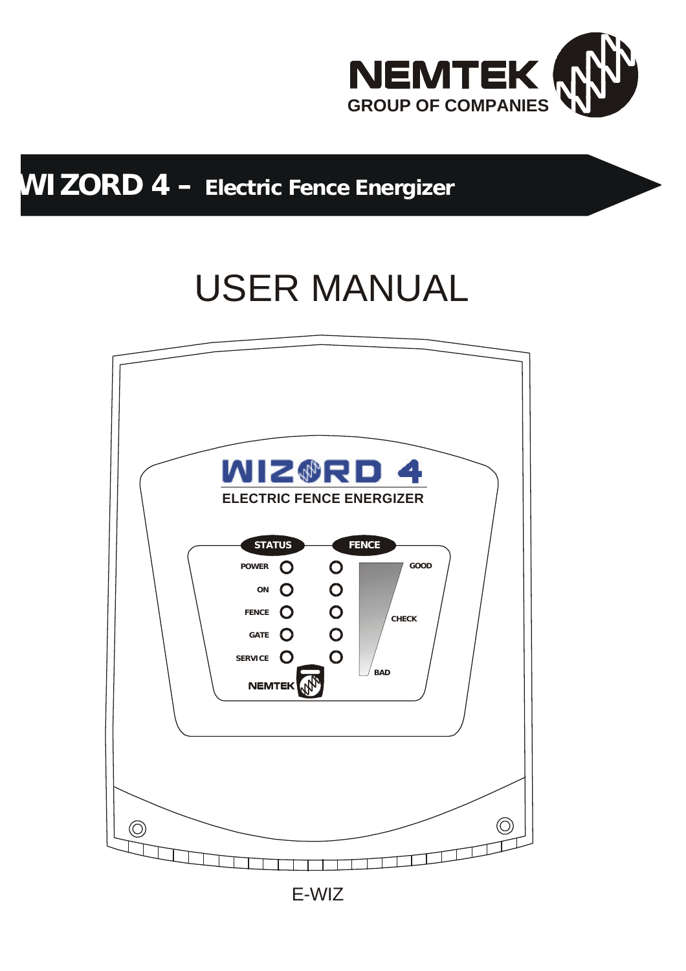

## **WIZORD 4 – Electric Fence Energizer**

# USER MANUAL

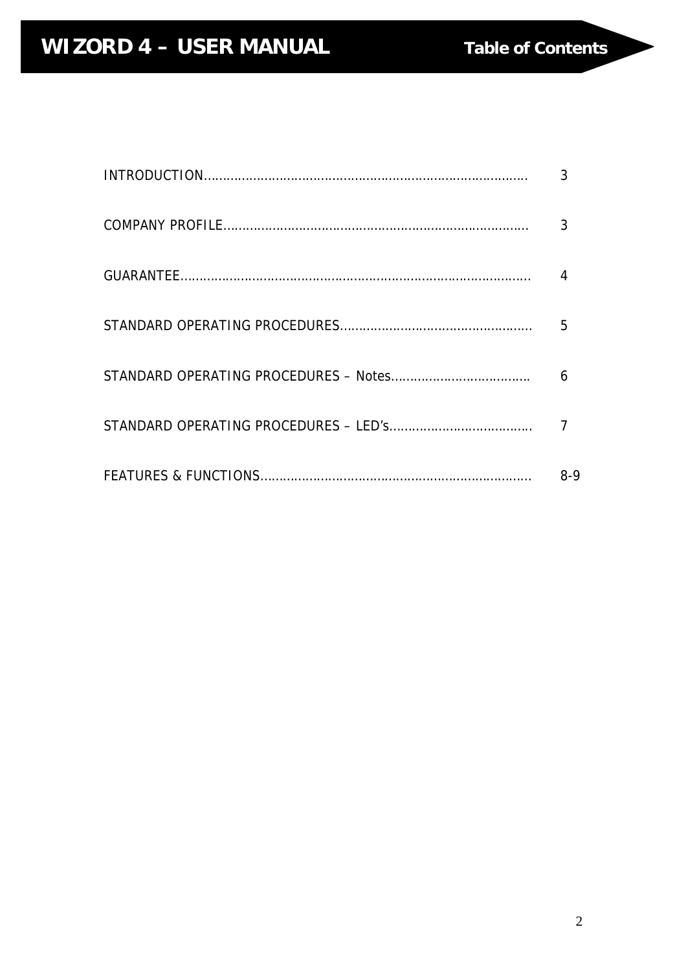| 3     |
|-------|
|       |
|       |
| 5     |
| 6     |
|       |
| $8-9$ |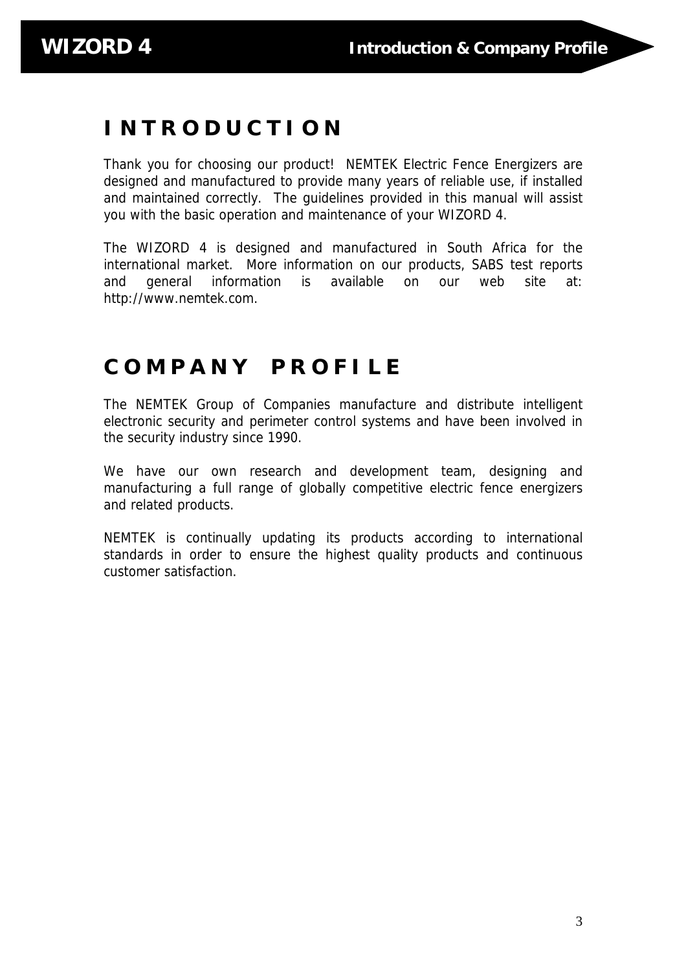### **I N T R O D U C T I O N**

Thank you for choosing our product! NEMTEK Electric Fence Energizers are designed and manufactured to provide many years of reliable use, if installed and maintained correctly. The guidelines provided in this manual will assist you with the basic operation and maintenance of your WIZORD 4.

The WIZORD 4 is designed and manufactured in South Africa for the international market. More information on our products, SABS test reports and general information is available on our web site at: http://www.nemtek.com.

### **C O M P A N Y P R O F I L E**

The NEMTEK Group of Companies manufacture and distribute intelligent electronic security and perimeter control systems and have been involved in the security industry since 1990.

We have our own research and development team, designing and manufacturing a full range of globally competitive electric fence energizers and related products.

NEMTEK is continually updating its products according to international standards in order to ensure the highest quality products and continuous customer satisfaction.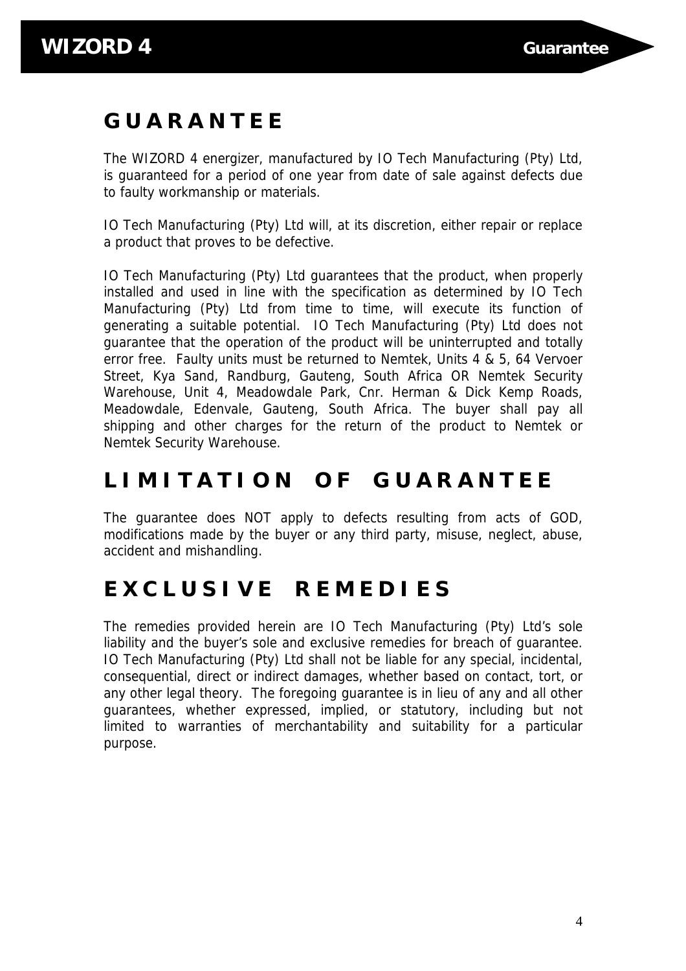### **G U A R A N T E E**

The WIZORD 4 energizer, manufactured by IO Tech Manufacturing (Pty) Ltd, is guaranteed for a period of one year from date of sale against defects due to faulty workmanship or materials.

IO Tech Manufacturing (Pty) Ltd will, at its discretion, either repair or replace a product that proves to be defective.

IO Tech Manufacturing (Pty) Ltd guarantees that the product, when properly installed and used in line with the specification as determined by IO Tech Manufacturing (Pty) Ltd from time to time, will execute its function of generating a suitable potential. IO Tech Manufacturing (Pty) Ltd does not guarantee that the operation of the product will be uninterrupted and totally error free. Faulty units must be returned to Nemtek, Units 4 & 5, 64 Vervoer Street, Kya Sand, Randburg, Gauteng, South Africa OR Nemtek Security Warehouse, Unit 4, Meadowdale Park, Cnr. Herman & Dick Kemp Roads, Meadowdale, Edenvale, Gauteng, South Africa. The buyer shall pay all shipping and other charges for the return of the product to Nemtek or Nemtek Security Warehouse.

### **L I M I T A T I O N O F G U A R A N T E E**

The guarantee does NOT apply to defects resulting from acts of GOD, modifications made by the buyer or any third party, misuse, neglect, abuse, accident and mishandling.

### **E X C L U S I V E R E M E D I E S**

The remedies provided herein are IO Tech Manufacturing (Pty) Ltd's sole liability and the buyer's sole and exclusive remedies for breach of guarantee. IO Tech Manufacturing (Pty) Ltd shall not be liable for any special, incidental, consequential, direct or indirect damages, whether based on contact, tort, or any other legal theory. The foregoing guarantee is in lieu of any and all other guarantees, whether expressed, implied, or statutory, including but not limited to warranties of merchantability and suitability for a particular purpose.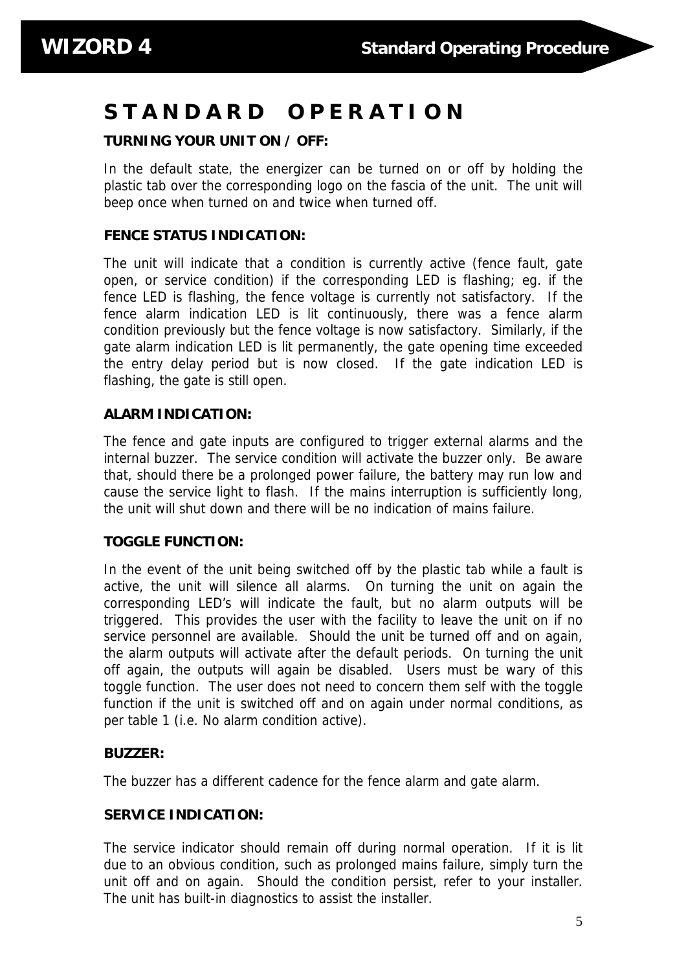### **S T A N D A R D O P E R A T I O N**

### **TURNING YOUR UNIT ON / OFF:**

In the default state, the energizer can be turned on or off by holding the plastic tab over the corresponding logo on the fascia of the unit. The unit will beep once when turned on and twice when turned off.

### **FENCE STATUS INDICATION:**

The unit will indicate that a condition is currently active (fence fault, gate open, or service condition) if the corresponding LED is flashing; eg. if the fence LED is flashing, the fence voltage is currently not satisfactory. If the fence alarm indication LED is lit continuously, there was a fence alarm condition previously but the fence voltage is now satisfactory. Similarly, if the gate alarm indication LED is lit permanently, the gate opening time exceeded the entry delay period but is now closed. If the gate indication LED is flashing, the gate is still open.

### **ALARM INDICATION:**

The fence and gate inputs are configured to trigger external alarms and the internal buzzer. The service condition will activate the buzzer only. Be aware that, should there be a prolonged power failure, the battery may run low and cause the service light to flash. If the mains interruption is sufficiently long, the unit will shut down and there will be no indication of mains failure.

### **TOGGLE FUNCTION:**

In the event of the unit being switched off by the plastic tab while a fault is active, the unit will silence all alarms. On turning the unit on again the corresponding LED's will indicate the fault, but no alarm outputs will be triggered. This provides the user with the facility to leave the unit on if no service personnel are available. Should the unit be turned off and on again, the alarm outputs will activate after the default periods. On turning the unit off again, the outputs will again be disabled. Users must be wary of this toggle function. The user does not need to concern them self with the toggle function if the unit is switched off and on again under normal conditions, as per table 1 (i.e. No alarm condition active).

### **BUZZER:**

The buzzer has a different cadence for the fence alarm and gate alarm.

### **SERVICE INDICATION:**

The service indicator should remain off during normal operation. If it is lit due to an obvious condition, such as prolonged mains failure, simply turn the unit off and on again. Should the condition persist, refer to your installer. The unit has built-in diagnostics to assist the installer.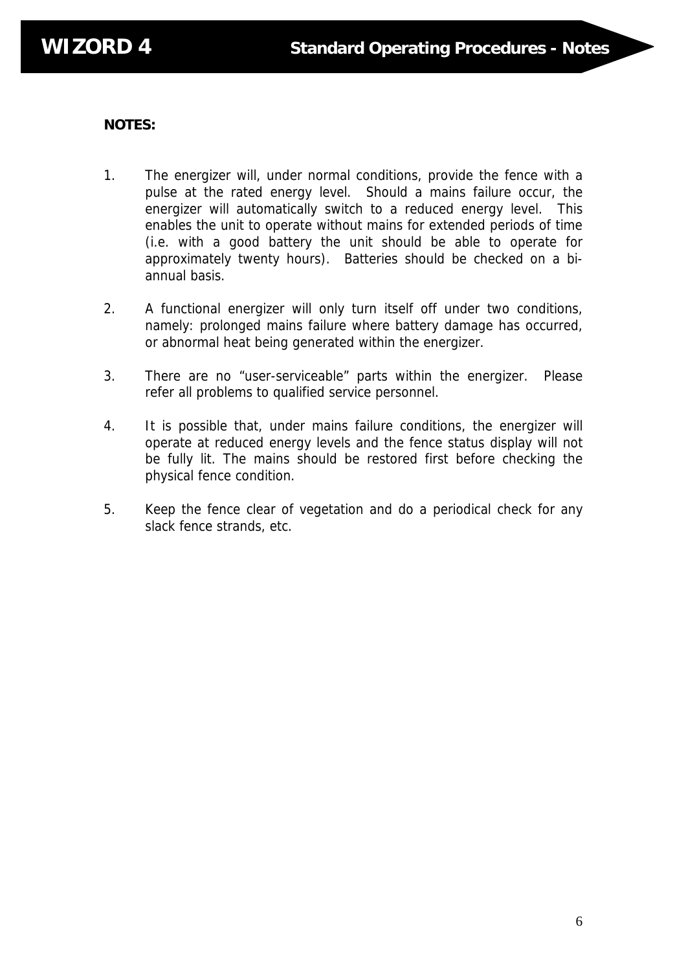### **NOTES:**

- 1. The energizer will, under normal conditions, provide the fence with a pulse at the rated energy level. Should a mains failure occur, the energizer will automatically switch to a reduced energy level. This enables the unit to operate without mains for extended periods of time (i.e. with a good battery the unit should be able to operate for approximately twenty hours). Batteries should be checked on a biannual basis.
- 2. A functional energizer will only turn itself off under two conditions, namely: prolonged mains failure where battery damage has occurred, or abnormal heat being generated within the energizer.
- 3. There are no "user-serviceable" parts within the energizer. Please refer all problems to qualified service personnel.
- 4. It is possible that, under mains failure conditions, the energizer will operate at reduced energy levels and the fence status display will not be fully lit. The mains should be restored first before checking the physical fence condition.
- 5. Keep the fence clear of vegetation and do a periodical check for any slack fence strands, etc.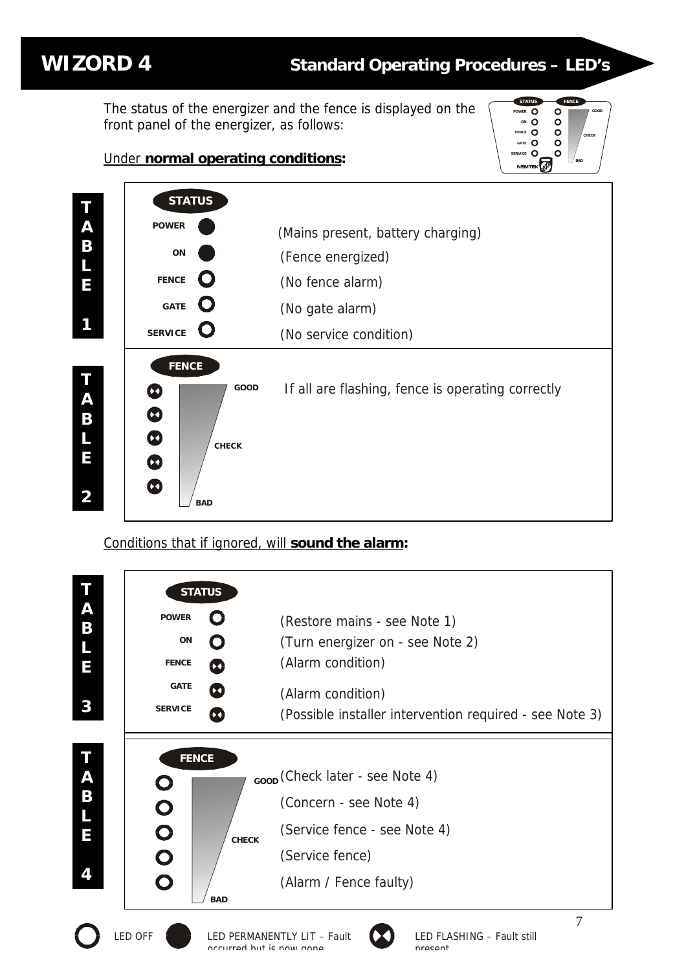**WIZORD 4 Standard Operating Procedures – LED's**

**GOOD**

**CHECK**

**BAD**

**POWER ON CE** GATE O CE O

 $\circ$ 

**STATUS FENCE**

 $\overline{O}$  $\ddot{\mathbf{o}}$ 

The status of the energizer and the fence is displayed on the front panel of the energizer, as follows:

### Under **normal operating conditions:**



### Conditions that if ignored, will **sound the alarm:**

| T<br>A<br>B<br>L<br>E<br>3 | <b>POWER</b><br>ON<br><b>FENCE</b><br><b>GATE</b><br><b>SERVICE</b> | <b>STATUS</b>                          | (Restore mains - see Note 1)<br>(Turn energizer on - see Note 2)<br>(Alarm condition)<br>(Alarm condition)<br>(Possible installer intervention required - see Note 3) |  |
|----------------------------|---------------------------------------------------------------------|----------------------------------------|-----------------------------------------------------------------------------------------------------------------------------------------------------------------------|--|
| Τ<br>A<br>B<br>E           | <b>FENCE</b><br>$\bullet$<br>$\bullet$<br>$\bullet$                 | <b>CHECK</b>                           | <sub>GOOD</sub> (Check later - see Note 4)<br>(Concern - see Note 4)<br>(Service fence - see Note 4)<br>(Service fence)                                               |  |
| 4                          | $\mathbf O$<br><b>LED OFF</b>                                       | <b>BAD</b><br>accurred but is now anne | (Alarm / Fence faulty)<br>7<br>LED FLASHING - Fault still<br>LED PERMANENTLY LIT - Fault<br>nracant                                                                   |  |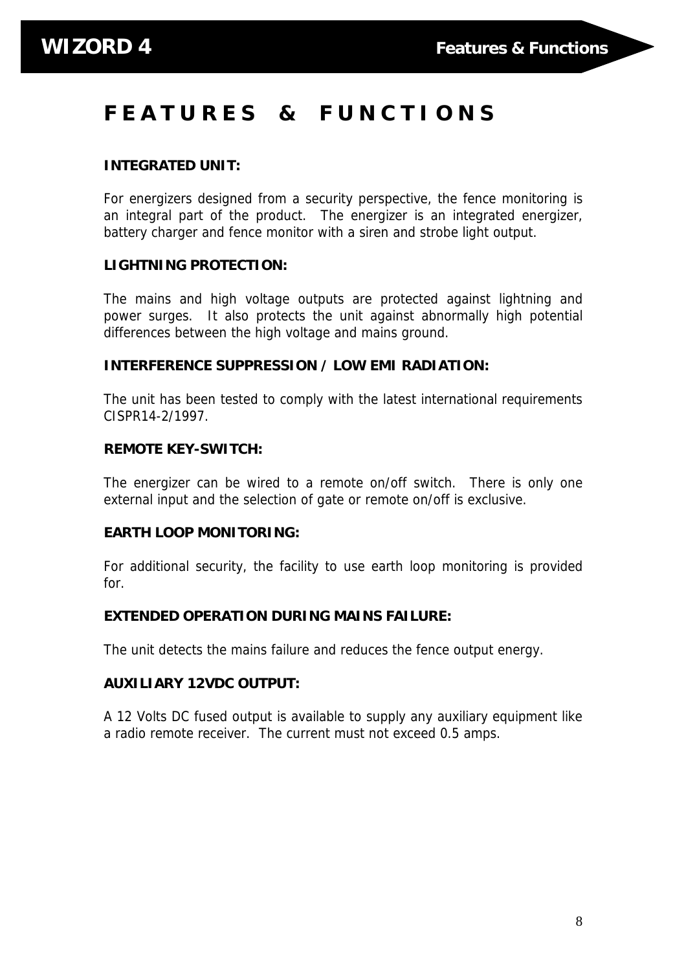## **F E A T U R E S & F U N C T I O N S**

### **INTEGRATED UNIT:**

For energizers designed from a security perspective, the fence monitoring is an integral part of the product. The energizer is an integrated energizer, battery charger and fence monitor with a siren and strobe light output.

### **LIGHTNING PROTECTION:**

The mains and high voltage outputs are protected against lightning and power surges. It also protects the unit against abnormally high potential differences between the high voltage and mains ground.

#### **INTERFERENCE SUPPRESSION / LOW EMI RADIATION:**

The unit has been tested to comply with the latest international requirements CISPR14-2/1997.

#### **REMOTE KEY-SWITCH:**

The energizer can be wired to a remote on/off switch. There is only one external input and the selection of gate or remote on/off is exclusive.

### **EARTH LOOP MONITORING:**

For additional security, the facility to use earth loop monitoring is provided for.

### **EXTENDED OPERATION DURING MAINS FAILURE:**

The unit detects the mains failure and reduces the fence output energy.

#### **AUXILIARY 12VDC OUTPUT:**

A 12 Volts DC fused output is available to supply any auxiliary equipment like a radio remote receiver. The current must not exceed 0.5 amps.